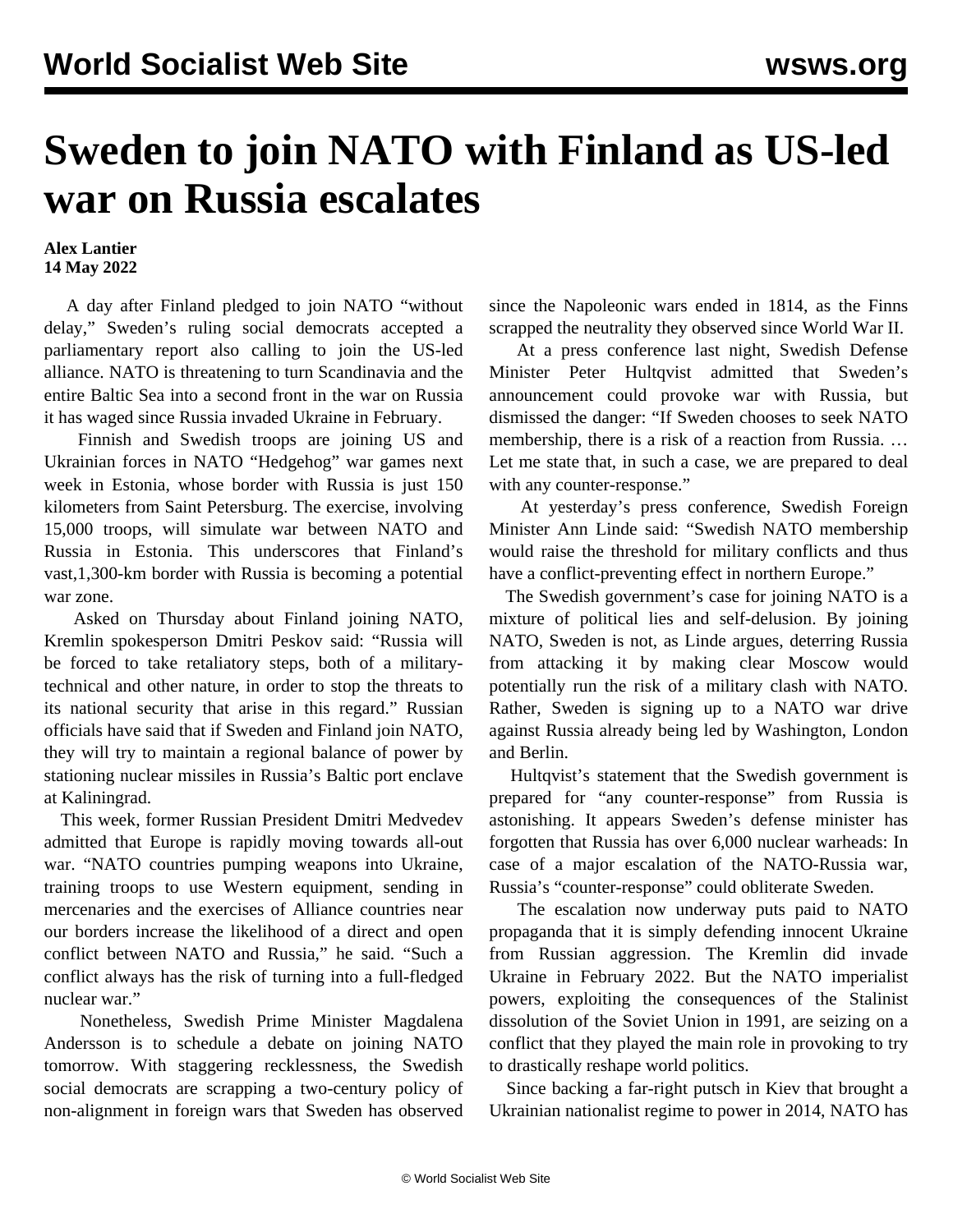## **Sweden to join NATO with Finland as US-led war on Russia escalates**

## **Alex Lantier 14 May 2022**

 A day after Finland pledged to join NATO "without delay," Sweden's ruling social democrats accepted a parliamentary report also calling to join the US-led alliance. NATO is threatening to turn Scandinavia and the entire Baltic Sea into a second front in the war on Russia it has waged since Russia invaded Ukraine in February.

 Finnish and Swedish troops are joining US and Ukrainian forces in NATO "Hedgehog" war games next week in Estonia, whose border with Russia is just 150 kilometers from Saint Petersburg. The exercise, involving 15,000 troops, will simulate war between NATO and Russia in Estonia. This underscores that Finland's vast,1,300-km border with Russia is becoming a potential war zone.

 Asked on Thursday about Finland joining NATO, Kremlin spokesperson Dmitri Peskov said: "Russia will be forced to take retaliatory steps, both of a militarytechnical and other nature, in order to stop the threats to its national security that arise in this regard." Russian officials have said that if Sweden and Finland join NATO, they will try to maintain a regional balance of power by stationing nuclear missiles in Russia's Baltic port enclave at Kaliningrad.

 This week, former Russian President Dmitri Medvedev admitted that Europe is rapidly moving towards all-out war. "NATO countries pumping weapons into Ukraine, training troops to use Western equipment, sending in mercenaries and the exercises of Alliance countries near our borders increase the likelihood of a direct and open conflict between NATO and Russia," he said. "Such a conflict always has the risk of turning into a full-fledged nuclear war."

 Nonetheless, Swedish Prime Minister Magdalena Andersson is to schedule a debate on joining NATO tomorrow. With staggering recklessness, the Swedish social democrats are scrapping a two-century policy of non-alignment in foreign wars that Sweden has observed since the Napoleonic wars ended in 1814, as the Finns scrapped the neutrality they observed since World War II.

 At a press conference last night, Swedish Defense Minister Peter Hultqvist admitted that Sweden's announcement could provoke war with Russia, but dismissed the danger: "If Sweden chooses to seek NATO membership, there is a risk of a reaction from Russia. … Let me state that, in such a case, we are prepared to deal with any counter-response."

 At yesterday's press conference, Swedish Foreign Minister Ann Linde said: "Swedish NATO membership would raise the threshold for military conflicts and thus have a conflict-preventing effect in northern Europe."

 The Swedish government's case for joining NATO is a mixture of political lies and self-delusion. By joining NATO, Sweden is not, as Linde argues, deterring Russia from attacking it by making clear Moscow would potentially run the risk of a military clash with NATO. Rather, Sweden is signing up to a NATO war drive against Russia already being led by Washington, London and Berlin.

 Hultqvist's statement that the Swedish government is prepared for "any counter-response" from Russia is astonishing. It appears Sweden's defense minister has forgotten that Russia has over 6,000 nuclear warheads: In case of a major escalation of the NATO-Russia war, Russia's "counter-response" could obliterate Sweden.

 The escalation now underway puts paid to NATO propaganda that it is simply defending innocent Ukraine from Russian aggression. The Kremlin did invade Ukraine in February 2022. But the NATO imperialist powers, exploiting the consequences of the Stalinist dissolution of the Soviet Union in 1991, are seizing on a conflict that they played the main role in provoking to try to drastically reshape world politics.

 Since backing a far-right putsch in Kiev that brought a Ukrainian nationalist regime to power in 2014, NATO has